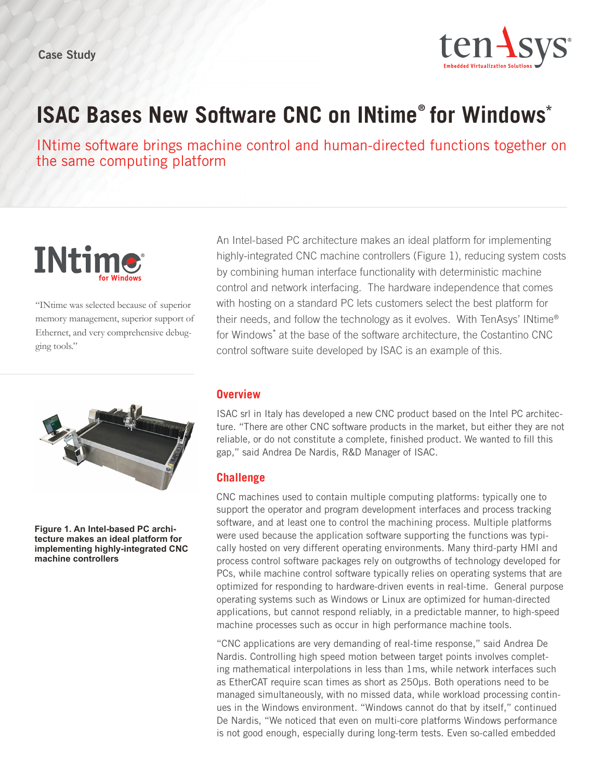

# **ISAC Bases New Software CNC on INtime® for Windows\***

INtime software brings machine control and human-directed functions together on the same computing platform



"INtime was selected because of superior memory management, superior support of Ethernet, and very comprehensive debugging tools."



**Figure 1. An Intel-based PC architecture makes an ideal platform for implementing highly-integrated CNC machine controllers**

An Intel-based PC architecture makes an ideal platform for implementing highly-integrated CNC machine controllers (Figure 1), reducing system costs by combining human interface functionality with deterministic machine control and network interfacing. The hardware independence that comes with hosting on a standard PC lets customers select the best platform for their needs, and follow the technology as it evolves. With TenAsys' INtime® for Windows<sup>\*</sup> at the base of the software architecture, the Costantino CNC control software suite developed by ISAC is an example of this.

#### **Overview**

ISAC srl in Italy has developed a new CNC product based on the Intel PC architecture. "There are other CNC software products in the market, but either they are not reliable, or do not constitute a complete, finished product. We wanted to fill this gap," said Andrea De Nardis, R&D Manager of ISAC.

#### **Challenge**

CNC machines used to contain multiple computing platforms: typically one to support the operator and program development interfaces and process tracking software, and at least one to control the machining process. Multiple platforms were used because the application software supporting the functions was typically hosted on very different operating environments. Many third-party HMI and process control software packages rely on outgrowths of technology developed for PCs, while machine control software typically relies on operating systems that are optimized for responding to hardware-driven events in real-time. General purpose operating systems such as Windows or Linux are optimized for human-directed applications, but cannot respond reliably, in a predictable manner, to high-speed machine processes such as occur in high performance machine tools.

"CNC applications are very demanding of real-time response," said Andrea De Nardis. Controlling high speed motion between target points involves completing mathematical interpolations in less than 1ms, while network interfaces such as EtherCAT require scan times as short as 250µs. Both operations need to be managed simultaneously, with no missed data, while workload processing continues in the Windows environment. "Windows cannot do that by itself," continued De Nardis, "We noticed that even on multi-core platforms Windows performance is not good enough, especially during long-term tests. Even so-called embedded